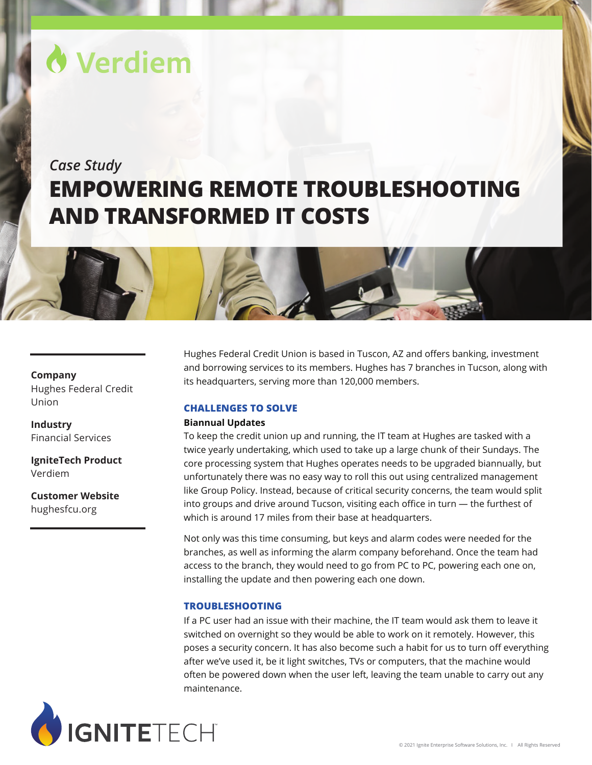# Verdiem

## *Case Study* **EMPOWERING REMOTE TROUBLESHOOTING AND TRANSFORMED IT COSTS**



### **Company**

Hughes Federal Credit Union

**Industry** Financial Services

**IgniteTech Product** Verdiem

**Customer Website** [hughesfcu.org](https://www.hughesfcu.org/)

Hughes Federal Credit Union is based in Tuscon, AZ and offers banking, investment and borrowing services to its members. Hughes has 7 branches in Tucson, along with its headquarters, serving more than 120,000 members.

#### **CHALLENGES TO SOLVE**

#### **Biannual Updates**

To keep the credit union up and running, the IT team at Hughes are tasked with a twice yearly undertaking, which used to take up a large chunk of their Sundays. The core processing system that Hughes operates needs to be upgraded biannually, but unfortunately there was no easy way to roll this out using centralized management like Group Policy. Instead, because of critical security concerns, the team would split into groups and drive around Tucson, visiting each office in turn — the furthest of which is around 17 miles from their base at headquarters.

Not only was this time consuming, but keys and alarm codes were needed for the branches, as well as informing the alarm company beforehand. Once the team had access to the branch, they would need to go from PC to PC, powering each one on, installing the update and then powering each one down.

#### **TROUBLESHOOTING**

If a PC user had an issue with their machine, the IT team would ask them to leave it switched on overnight so they would be able to work on it remotely. However, this poses a security concern. It has also become such a habit for us to turn off everything after we've used it, be it light switches, TVs or computers, that the machine would often be powered down when the user left, leaving the team unable to carry out any maintenance.